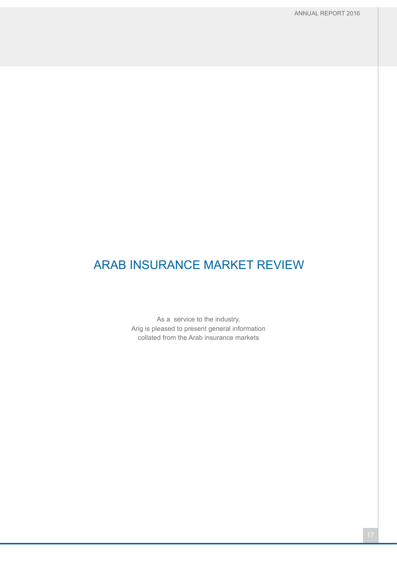As a service to the industry, Arig is pleased to present general information collated from the Arab insurance markets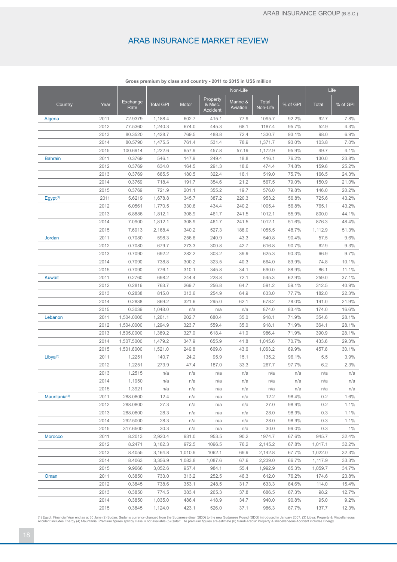|                           |      |                  |                  | Non-Life |                                 |                      |                          | Life     |              |          |
|---------------------------|------|------------------|------------------|----------|---------------------------------|----------------------|--------------------------|----------|--------------|----------|
| Country                   | Year | Exchange<br>Rate | <b>Total GPI</b> | Motor    | Property<br>& Misc.<br>Accident | Marine &<br>Aviation | <b>Total</b><br>Non-Life | % of GPI | <b>Total</b> | % of GPI |
| Algeria                   | 2011 | 72.9379          | 1,188.4          | 602.7    | 415.1                           | 77.9                 | 1095.7                   | 92.2%    | 92.7         | 7.8%     |
|                           | 2012 | 77.5360          | 1,240.3          | 674.0    | 445.3                           | 68.1                 | 1187.4                   | 95.7%    | 52.9         | 4.3%     |
|                           | 2013 | 80.3520          | 1,428.7          | 769.5    | 488.8                           | 72.4                 | 1330.7                   | 93.1%    | 98.0         | 6.9%     |
|                           | 2014 | 80.5790          | 1,475.5          | 761.4    | 531.4                           | 78.9                 | 1,371.7                  | 93.0%    | 103.8        | 7.0%     |
|                           | 2015 | 100.6914         | 1,222.6          | 657.9    | 457.8                           | 57.19                | 1,172.9                  | 95.9%    | 49.7         | 4.1%     |
| <b>Bahrain</b>            | 2011 | 0.3769           | 546.1            | 147.9    | 249.4                           | 18.8                 | 416.1                    | 76.2%    | 130.0        | 23.8%    |
|                           | 2012 | 0.3769           | 634.0            | 164.5    | 291.3                           | 18.6                 | 474.4                    | 74.8%    | 159.6        | 25.2%    |
|                           | 2013 | 0.3769           | 685.5            | 180.5    | 322.4                           | 16.1                 | 519.0                    | 75.7%    | 166.5        | 24.3%    |
|                           | 2014 | 0.3769           | 718.4            | 191.7    | 354.6                           | 21.2                 | 567.5                    | 79.0%    | 150.9        | 21.0%    |
|                           | 2015 | 0.3769           | 721.9            | 201.1    | 355.2                           | 19.7                 | 576.0                    | 79.8%    | 146.0        | 20.2%    |
| Egypt <sup>(1)</sup>      | 2011 | 5.6219           | 1,678.8          | 345.7    | 387.2                           | 220.3                | 953.2                    | 56.8%    | 725.6        | 43.2%    |
|                           | 2012 | 6.0561           | 1,770.5          | 330.8    | 434.4                           | 240.2                | 1005.4                   | 56.8%    | 765.1        | 43.2%    |
|                           | 2013 | 6.8886           | 1,812.1          | 308.9    | 461.7                           | 241.5                | 1012.1                   | 55.9%    | 800.0        | 44.1%    |
|                           | 2014 | 7.0900           | 1,812.1          | 308.9    | 461.7                           | 241.5                | 1012.1                   | 51.6%    | 876.3        | 48.4%    |
|                           | 2015 | 7.6913           | 2,168.4          | 340.2    | 527.3                           | 188.0                | 1055.5                   | 48.7%    | 1,112.9      | 51.3%    |
| Jordan                    | 2011 | 0.7080           | 598.3            | 256.6    | 240.9                           | 43.3                 | 540.8                    | 90.4%    | 57.5         | 9.6%     |
|                           | 2012 | 0.7080           | 679.7            | 273.3    | 300.8                           | 42.7                 | 616.8                    | 90.7%    | 62.9         | 9.3%     |
|                           | 2013 | 0.7090           | 692.2            | 282.2    | 303.2                           | 39.9                 | 625.3                    | 90.3%    | 66.9         | 9.7%     |
|                           | 2014 | 0.7090           | 738.8            | 300.2    | 323.5                           | 40.3                 | 664.0                    | 89.9%    | 74.8         | 10.1%    |
|                           | 2015 | 0.7090           | 776.1            | 310.1    | 345.8                           | 34.1                 | 690.0                    | 88.9%    | 86.1         | 11.1%    |
| <b>Kuwait</b>             | 2011 | 0.2760           | 698.2            | 244.4    | 228.8                           | 72.1                 | 545.3                    | 62.9%    | 259.0        | 37.1%    |
|                           | 2012 | 0.2816           | 763.7            | 269.7    | 256.8                           | 64.7                 | 591.2                    | 59.1%    | 312.5        | 40.9%    |
|                           | 2013 | 0.2838           | 815.0            | 313.6    | 254.9                           | 64.9                 | 633.0                    | 77.7%    | 182.0        | 22.3%    |
|                           | 2014 | 0.2838           | 869.2            | 321.6    | 295.0                           | 62.1                 | 678.2                    | 78.0%    | 191.0        | 21.9%    |
|                           | 2015 | 0.3039           | 1,048.0          | n/a      | n/a                             | n/a                  | 874.0                    | 83.4%    | 174.0        | 16.6%    |
| Lebanon                   | 2011 | 1,504.0000       | 1,261.1          | 202.7    | 680.4                           | 35.0                 | 918.1                    | 71.9%    | 354.6        | 28.1%    |
|                           | 2012 | 1,504.0000       | 1,294.9          | 323.7    | 559.4                           | 35.0                 | 918.1                    | 71.9%    | 364.1        | 28.1%    |
|                           | 2013 | 1,505.0000       | 1,389.2          | 327.0    | 618.4                           | 41.0                 | 986.4                    | 71.9%    | 390.9        | 28.1%    |
|                           | 2014 | 1,507.5000       | 1,479.2          | 347.9    | 655.9                           | 41.8                 | 1,045.6                  | 70.7%    | 433.6        | 29.3%    |
|                           | 2015 | 1,501.8000       | 1,521.0          | 249.8    | 669.8                           | 43.6                 | 1,063.2                  | 69.9%    | 457.8        | 30.1%    |
| Libya <sup>(3)</sup>      | 2011 | 1.2251           | 140.7            | 24.2     | 95.9                            | 15.1                 | 135.2                    | 96.1%    | 5.5          | 3.9%     |
|                           | 2012 | 1.2251           | 273.9            | 47.4     | 187.0                           | 33.3                 | 267.7                    | 97.7%    | 6.2          | 2.3%     |
|                           | 2013 | 1.2515           | n/a              | n/a      | n/a                             | n/a                  | n/a                      | n/a      | n/a          | n/a      |
|                           | 2014 | 1.1950           | n/a              | n/a      | n/a                             | n/a                  | n/a                      | n/a      | n/a          | n/a      |
|                           | 2015 | 1.3921           | n/a              | n/a      | n/a                             | n/a                  | n/a                      | n/a      | n/a          | n/a      |
| Mauritania <sup>(4)</sup> | 2011 | 288.0800         | 12.4             | n/a      | n/a                             | n/a                  | 12.2                     | 98.4%    | 0.2          | 1.6%     |
|                           | 2012 | 288.0800         | 27.3             | n/a      | n/a                             | n/a                  | 27.0                     | 98.9%    | 0.2          | 1.1%     |
|                           | 2013 | 288.0800         | 28.3             | n/a      | n/a                             | n/a                  | 28.0                     | 98.9%    | 0.3          | 1.1%     |
|                           | 2014 | 292.5000         | 28.3             | n/a      | n/a                             | n/a                  | 28.0                     | 98.9%    | 0.3          | 1.1%     |
|                           | 2015 | 317.6500         | 30.3             | n/a      | n/a                             | n/a                  | 30.0                     | 99.0%    | 0.3          | 1%       |
| <b>Morocco</b>            | 2011 | 8.2013           | 2,920.4          | 931.0    | 953.5                           | 90.2                 | 1974.7                   | 67.6%    | 945.7        | 32.4%    |
|                           | 2012 | 8.2471           | 3,162.3          | 972.5    | 1096.5                          | 76.2                 | 2,145.2                  | 67.8%    | 1,017.1      | 32.2%    |
|                           | 2013 | 8.4055           | 3,164.8          | 1,010.9  | 1062.1                          | 69.9                 | 2,142.8                  | 67.7%    | 1,022.0      | 32.3%    |
|                           | 2014 | 8.4063           | 3,356.9          | 1,083.8  | 1,087.6                         | 67.6                 | 2,239.0                  | 66.7%    | 1,117.9      | 33.3%    |
|                           | 2015 | 9.9666           | 3,052.6          | 957.4    | 984.1                           | 55.4                 | 1,992.9                  | 65.3%    | 1,059.7      | 34.7%    |
| Oman                      | 2011 | 0.3850           | 733.0            | 313.2    | 252.5                           | 46.3                 | 612.0                    | 76.2%    | 174.6        | 23.8%    |
|                           | 2012 | 0.3845           | 738.6            | 353.1    | 248.5                           | 31.7                 | 633.3                    | 84.6%    | 114.0        | 15.4%    |
|                           | 2013 | 0.3850           | 774.5            | 383.4    | 265.3                           | 37.8                 | 686.5                    | 87.3%    | 98.2         | 12.7%    |
|                           | 2014 | 0.3850           | 1,035.0          | 486.4    | 418.9                           | 34.7                 | 940.0                    | 90.8%    | 95.0         | 9.2%     |
|                           | 2015 | 0.3845           | 1,124.0          | 423.1    | 526.0                           | 37.1                 | 986.3                    | 87.7%    | 137.7        | 12.3%    |

**Gross premium by class and country - 2011 to 2015 in US\$ million**

(1) Egypt: Financial Year end as at 30 June (2) Sudan: Sudan's currency changed from the Sudanese dinar (SDD) to the new Sudanese Pound (SDG) introduced in January 2007. (3) Libya: Property & Miscellaneous<br>Accident include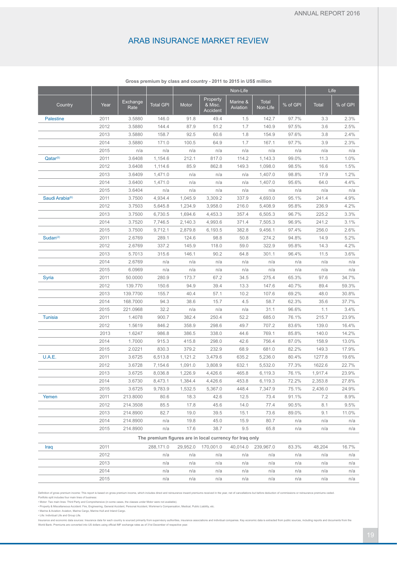|                             |      |                  |                                                         | Non-Life |                                 |                      |                          |          | Life         |          |
|-----------------------------|------|------------------|---------------------------------------------------------|----------|---------------------------------|----------------------|--------------------------|----------|--------------|----------|
| Country                     | Year | Exchange<br>Rate | <b>Total GPI</b>                                        | Motor    | Property<br>& Misc.<br>Accident | Marine &<br>Aviation | <b>Total</b><br>Non-Life | % of GPI | <b>Total</b> | % of GPI |
| <b>Palestine</b>            | 2011 | 3.5880           | 146.0                                                   | 91.8     | 49.4                            | 1.5                  | 142.7                    | 97.7%    | 3.3          | 2.3%     |
|                             | 2012 | 3.5880           | 144.4                                                   | 87.9     | 51.2                            | 1.7                  | 140.9                    | 97.5%    | 3.6          | 2.5%     |
|                             | 2013 | 3.5880           | 158.7                                                   | 92.5     | 60.6                            | 1.8                  | 154.9                    | 97.6%    | 3.8          | 2.4%     |
|                             | 2014 | 3.5880           | 171.0                                                   | 100.5    | 64.9                            | 1.7                  | 167.1                    | 97.7%    | 3.9          | 2.3%     |
|                             | 2015 | n/a              | n/a                                                     | n/a      | n/a                             | n/a                  | n/a                      | n/a      | n/a          | n/a      |
| Qatar <sup>(5)</sup>        | 2011 | 3.6408           | 1,154.6                                                 | 212.1    | 817.0                           | 114.2                | 1,143.3                  | 99.0%    | 11.3         | 1.0%     |
|                             | 2012 | 3.6408           | 1,114.6                                                 | 85.9     | 862.8                           | 149.3                | 1,098.0                  | 98.5%    | 16.6         | 1.5%     |
|                             | 2013 | 3.6409           | 1,471.0                                                 | n/a      | n/a                             | n/a                  | 1,407.0                  | 98.8%    | 17.9         | 1.2%     |
|                             | 2014 | 3.6400           | 1,471.0                                                 | n/a      | n/a                             | n/a                  | 1,407.0                  | 95.6%    | 64.0         | 4.4%     |
|                             | 2015 | 3.6404           | n/a                                                     | n/a      | n/a                             | n/a                  | n/a                      | n/a      | n/a          | n/a      |
| Saudi Arabia <sup>(6)</sup> | 2011 | 3.7500           | 4,934.4                                                 | 1,045.9  | 3,309.2                         | 337.9                | 4,693.0                  | 95.1%    | 241.4        | 4.9%     |
|                             | 2012 | 3.7503           | 5,645.8                                                 | 1,234.9  | 3,958.0                         | 216.0                | 5,408.9                  | 95.8%    | 236.9        | 4.2%     |
|                             | 2013 | 3.7500           | 6,730.5                                                 | 1,694.6  | 4,453.3                         | 357.4                | 6,505.3                  | 96.7%    | 225.2        | 3.3%     |
|                             | 2014 | 3.7520           | 7,746.5                                                 | 2,140.3  | 4,993.6                         | 371.4                | 7,505.3                  | 96.9%    | 241.2        | 3.1%     |
|                             | 2015 | 3.7500           | 9,712.1                                                 | 2,879.8  | 6,193.5                         | 382.8                | 9,456.1                  | 97.4%    | 256.0        | 2.6%     |
| Sudan $(2)$                 | 2011 | 2.6769           | 289.1                                                   | 124.6    | 98.8                            | 50.8                 | 274.2                    | 94.8%    | 14.9         | 5.2%     |
|                             | 2012 | 2.6769           | 337.2                                                   | 145.9    | 118.0                           | 59.0                 | 322.9                    | 95.8%    | 14.3         | 4.2%     |
|                             | 2013 | 5.7013           | 315.6                                                   | 146.1    | 90.2                            | 64.8                 | 301.1                    | 96.4%    | 11.5         | 3.6%     |
|                             | 2014 | 2.6769           | n/a                                                     | n/a      | n/a                             | n/a                  | n/a                      | n/a      | n/a          | n/a      |
|                             | 2015 | 6.0969           | n/a                                                     | n/a      | n/a                             | n/a                  | n/a                      | n/a      | n/a          | n/a      |
| Syria                       | 2011 | 50.0000          | 280.9                                                   | 173.7    | 67.2                            | 34.5                 | 275.4                    | 65.3%    | 97.6         | 34.7%    |
|                             | 2012 | 139.770          | 150.6                                                   | 94.9     | 39.4                            | 13.3                 | 147.6                    | 40.7%    | 89.4         | 59.3%    |
|                             | 2013 | 139.7700         | 155.7                                                   | 40.4     | 57.1                            | 10.2                 | 107.6                    | 69.2%    | 48.0         | 30.8%    |
|                             | 2014 | 168.7000         | 94.3                                                    | 38.6     | 15.7                            | 4.5                  | 58.7                     | 62.3%    | 35.6         | 37.7%    |
|                             | 2015 | 221.0968         | 32.2                                                    | n/a      | n/a                             | n/a                  | 31.1                     | 96.6%    | 1.1          | 3.4%     |
| <b>Tunisia</b>              | 2011 | 1.4078           | 900.7                                                   | 382.4    | 250.4                           | 52.2                 | 685.0                    | 76.1%    | 215.7        | 23.9%    |
|                             | 2012 | 1.5619           | 846.2                                                   | 358.9    | 298.6                           | 49.7                 | 707.2                    | 83.6%    | 139.0        | 16.4%    |
|                             | 2013 | 1.6247           | 986.8                                                   | 386.5    | 338.0                           | 44.6                 | 769.1                    | 85.8%    | 140.0        | 14.2%    |
|                             | 2014 | 1.7000           | 915.3                                                   | 415.8    | 298.0                           | 42.6                 | 756.4                    | 87.0%    | 158.9        | 13.0%    |
|                             | 2015 | 2.0221           | 830.3                                                   | 379.2    | 232.9                           | 68.9                 | 681.0                    | 82.2%    | 149.3        | 17.9%    |
| U.A.E.                      | 2011 | 3.6725           | 6,513.8                                                 | 1,121.2  | 3,479.6                         | 635.2                | 5,236.0                  | 80.4%    | 1277.8       | 19.6%    |
|                             | 2012 | 3.6728           | 7,154.6                                                 | 1,091.0  | 3,808.9                         | 632.1                | 5,532.0                  | 77.3%    | 1622.6       | 22.7%    |
|                             | 2013 | 3.6725           | 8,036.8                                                 | 1,226.9  | 4,426.6                         | 465.8                | 6,119.3                  | 76.1%    | 1,917.4      | 23.9%    |
|                             | 2014 | 3.6730           | 8,473.1                                                 | 1,384.4  | 4,426.6                         | 453.8                | 6,119.3                  | 72.2%    | 2,353.8      | 27.8%    |
|                             | 2015 | 3.6725           | 9,783.9                                                 | 1,532.5  | 5,367.0                         | 448.4                | 7,347.9                  | 75.1%    | 2,436.0      | 24.9%    |
| Yemen                       | 2011 | 213.8000         | 80.6                                                    | 18.3     | 42.6                            | 12.5                 | 73.4                     | 91.1%    | 7.2          | 8.9%     |
|                             | 2012 | 214.3508         | 85.5                                                    | 17.8     | 45.6                            | 14.0                 | 77.4                     | 90.5%    | 8.1          | 9.5%     |
|                             | 2013 | 214.8900         | 82.7                                                    | 19.0     | 39.5                            | 15.1                 | 73.6                     | 89.0%    | 9.1          | 11.0%    |
|                             | 2014 | 214.8900         | n/a                                                     | 19.8     | 45.0                            | 15.9                 | 80.7                     | n/a      | n/a          | n/a      |
|                             | 2015 | 214.8900         | n/a                                                     | 17.6     | 38.7                            | 9.5                  | 65.8                     | n/a      | n/a          | n/a      |
|                             |      |                  | The premium figures are in local currency for Irag only |          |                                 |                      |                          |          |              |          |
| Iraq                        | 2011 |                  | 288,171.0                                               |          | 29,952.0 170,001.0              |                      | 40,014.0 239,967.0       | 83.3%    | 48,204       | 16.7%    |
|                             |      |                  |                                                         |          |                                 |                      |                          |          |              |          |

**Gross premium by class and country - 2011 to 2015 in US\$ million**

| Iraq | 2011 | 288.171.0 |     |     |             | 29,952.0 170,001.0 40,014.0 239,967.0 | 83.3%       | 48.204 | 16.7% |
|------|------|-----------|-----|-----|-------------|---------------------------------------|-------------|--------|-------|
|      | 2012 | n/a       | n/a |     | $n/a$ $n/a$ |                                       | $n/a$ $n/a$ | n/a    | n/a   |
|      | 2013 | n/a       | n/a |     | $n/a$ $n/a$ | n/a                                   | n/a         | n/a    | n/a   |
|      | 2014 | n/a       | n/a | n/a | n/a         | n/a                                   | n/a         | n/a    | n/a   |
|      | 2015 | n/a       | n/a | n/a | n/a         | n/a                                   | n/a         | n/a    | n/a   |

Definition of gross premium income: This report is based on gross premium income, which includes direct and reinsurance inward premiums received in the year, net of cancellations but before deduction of commissions or rein

Portfolio split includes four main lines of business:<br>• Motor: Two main lines: Third Party and Comprehensive (in some cases, the classes under Motor were not available).<br>• Property & Miscellaneous Accident: Fire, Engineeri

Insurance and economic data sources: Insurance data for each country is sourced primarily from supervisory authorities, insurance associations and individual companies. Key economic data is extracted from public sources, i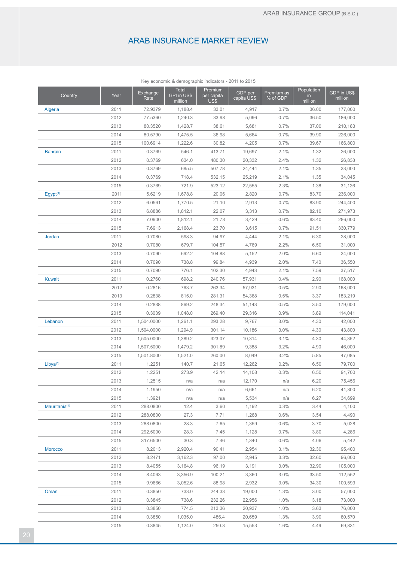| Key economic & demographic indicators - 2011 to 2015 |      |                  |                                 |                               |                        |                        |                                        |                        |  |
|------------------------------------------------------|------|------------------|---------------------------------|-------------------------------|------------------------|------------------------|----------------------------------------|------------------------|--|
| Country                                              | Year | Exchange<br>Rate | Total<br>GPI in US\$<br>million | Premium<br>per capita<br>US\$ | GDP per<br>capita US\$ | Premium as<br>% of GDP | Population<br>$\mathsf{in}$<br>million | GDP in US\$<br>million |  |
| Algeria                                              | 2011 | 72.9379          | 1,188.4                         | 33.01                         | 4,917                  | 0.7%                   | 36.00                                  | 177,000                |  |
|                                                      | 2012 | 77.5360          | 1,240.3                         | 33.98                         | 5,096                  | 0.7%                   | 36.50                                  | 186,000                |  |
|                                                      | 2013 | 80.3520          | 1,428.7                         | 38.61                         | 5,681                  | 0.7%                   | 37.00                                  | 210,183                |  |
|                                                      | 2014 | 80.5790          | 1,475.5                         | 36.98                         | 5,664                  | 0.7%                   | 39.90                                  | 226,000                |  |
|                                                      | 2015 | 100.6914         | 1,222.6                         | 30.82                         | 4,205                  | 0.7%                   | 39.67                                  | 166,800                |  |
| <b>Bahrain</b>                                       | 2011 | 0.3769           | 546.1                           | 413.71                        | 19,697                 | 2.1%                   | 1.32                                   | 26,000                 |  |
|                                                      | 2012 | 0.3769           | 634.0                           | 480.30                        | 20,332                 | 2.4%                   | 1.32                                   | 26,838                 |  |
|                                                      | 2013 | 0.3769           | 685.5                           | 507.78                        | 24,444                 | 2.1%                   | 1.35                                   | 33,000                 |  |
|                                                      | 2014 | 0.3769           | 718.4                           | 532.15                        | 25,219                 | 2.1%                   | 1.35                                   | 34,045                 |  |
|                                                      | 2015 | 0.3769           | 721.9                           | 523.12                        | 22,555                 | 2.3%                   | 1.38                                   | 31,126                 |  |
| $E$ gypt $(1)$                                       | 2011 | 5.6219           | 1,678.8                         | 20.06                         | 2,820                  | 0.7%                   | 83.70                                  | 236,000                |  |
|                                                      | 2012 | 6.0561           | 1,770.5                         | 21.10                         | 2,913                  | 0.7%                   | 83.90                                  | 244,400                |  |
|                                                      | 2013 | 6.8886           | 1,812.1                         | 22.07                         | 3,313                  | 0.7%                   | 82.10                                  | 271,973                |  |
|                                                      | 2014 | 7.0900           | 1,812.1                         | 21.73                         | 3,429                  | 0.6%                   | 83.40                                  | 286,000                |  |
|                                                      | 2015 | 7.6913           | 2,168.4                         | 23.70                         | 3,615                  | 0.7%                   | 91.51                                  | 330,779                |  |
| Jordan                                               | 2011 | 0.7080           | 598.3                           | 94.97                         | 4,444                  | 2.1%                   | 6.30                                   | 28,000                 |  |
|                                                      | 2012 | 0.7080           | 679.7                           | 104.57                        | 4,769                  | 2.2%                   | 6.50                                   | 31,000                 |  |
|                                                      | 2013 | 0.7090           | 692.2                           | 104.88                        | 5,152                  | 2.0%                   | 6.60                                   | 34,000                 |  |
|                                                      | 2014 | 0.7090           | 738.8                           | 99.84                         | 4,939                  | 2.0%                   | 7.40                                   | 36,550                 |  |
|                                                      | 2015 | 0.7090           | 776.1                           | 102.30                        | 4,943                  | 2.1%                   | 7.59                                   | 37,517                 |  |
| <b>Kuwait</b>                                        | 2011 | 0.2760           | 698.2                           | 240.76                        | 57,931                 | 0.4%                   | 2.90                                   | 168,000                |  |
|                                                      | 2012 | 0.2816           | 763.7                           | 263.34                        | 57,931                 | 0.5%                   | 2.90                                   | 168,000                |  |
|                                                      | 2013 | 0.2838           | 815.0                           | 281.31                        | 54,368                 | 0.5%                   | 3.37                                   | 183,219                |  |
|                                                      | 2014 | 0.2838           | 869.2                           | 248.34                        | 51,143                 | 0.5%                   | 3.50                                   | 179,000                |  |
|                                                      | 2015 | 0.3039           | 1,048.0                         | 269.40                        | 29,316                 | 0.9%                   | 3.89                                   | 114,041                |  |
| Lebanon                                              | 2011 | 1,504.0000       | 1,261.1                         | 293.28                        | 9,767                  | 3.0%                   | 4.30                                   | 42,000                 |  |
|                                                      | 2012 | 1,504.0000       | 1,294.9                         | 301.14                        | 10,186                 | 3.0%                   | 4.30                                   | 43,800                 |  |
|                                                      | 2013 | 1,505.0000       | 1,389.2                         | 323.07                        | 10,314                 | 3.1%                   | 4.30                                   | 44,352                 |  |
|                                                      | 2014 |                  |                                 | 301.89                        | 9,388                  | 3.2%                   | 4.90                                   | 46,000                 |  |
|                                                      | 2015 | 1,507.5000       | 1,479.2<br>1,521.0              |                               |                        |                        |                                        |                        |  |
|                                                      |      | 1,501.8000       |                                 | 260.00                        | 8,049                  | 3.2%                   | 5.85                                   | 47,085                 |  |
| $Libya^{(3)}$                                        | 2011 | 1.2251           | 140.7                           | 21.65                         | 12,262                 | 0.2%                   | 6.50                                   | 79,700                 |  |
|                                                      | 2012 | 1.2251           | 273.9                           | 42.14                         | 14,108                 | 0.3%                   | 6.50                                   | 91,700                 |  |
|                                                      | 2013 | 1.2515           | n/a                             | n/a                           | 12,170                 | n/a                    | 6.20                                   | 75,456                 |  |
|                                                      | 2014 | 1.1950           | n/a                             | n/a                           | 6,661                  | n/a                    | 6.20                                   | 41,300                 |  |
|                                                      | 2015 | 1.3921           | n/a                             | n/a                           | 5,534                  | n/a                    | 6.27                                   | 34,699                 |  |
| Mauritania <sup>(4)</sup>                            | 2011 | 288.0800         | 12.4                            | 3.60                          | 1,192                  | 0.3%                   | 3.44                                   | 4,100                  |  |
|                                                      | 2012 | 288.0800         | 27.3                            | 7.71                          | 1,268                  | 0.6%                   | 3.54                                   | 4,490                  |  |
|                                                      | 2013 | 288.0800         | 28.3                            | 7.65                          | 1,359                  | 0.6%                   | 3.70                                   | 5,028                  |  |
|                                                      | 2014 | 292.5000         | 28.3                            | 7.45                          | 1,128                  | 0.7%                   | 3.80                                   | 4,286                  |  |
|                                                      | 2015 | 317.6500         | 30.3                            | 7.46                          | 1,340                  | 0.6%                   | 4.06                                   | 5,442                  |  |
| <b>Morocco</b>                                       | 2011 | 8.2013           | 2,920.4                         | 90.41                         | 2,954                  | 3.1%                   | 32.30                                  | 95,400                 |  |
|                                                      | 2012 | 8.2471           | 3,162.3                         | 97.00                         | 2,945                  | 3.3%                   | 32.60                                  | 96,000                 |  |
|                                                      | 2013 | 8.4055           | 3,164.8                         | 96.19                         | 3,191                  | 3.0%                   | 32.90                                  | 105,000                |  |
|                                                      | 2014 | 8.4063           | 3,356.9                         | 100.21                        | 3,360                  | 3.0%                   | 33.50                                  | 112,552                |  |
|                                                      | 2015 | 9.9666           | 3,052.6                         | 88.98                         | 2,932                  | 3.0%                   | 34.30                                  | 100,593                |  |
| Oman                                                 | 2011 | 0.3850           | 733.0                           | 244.33                        | 19,000                 | 1.3%                   | 3.00                                   | 57,000                 |  |
|                                                      | 2012 | 0.3845           | 738.6                           | 232.26                        | 22,956                 | 1.0%                   | 3.18                                   | 73,000                 |  |
|                                                      | 2013 | 0.3850           | 774.5                           | 213.36                        | 20,937                 | 1.0%                   | 3.63                                   | 76,000                 |  |
|                                                      | 2014 | 0.3850           | 1,035.0                         | 486.4                         | 20,659                 | 1.3%                   | 3.90                                   | 80,570                 |  |
|                                                      | 2015 | 0.3845           | 1,124.0                         | 250.3                         | 15,553                 | 1.6%                   | 4.49                                   | 69,831                 |  |